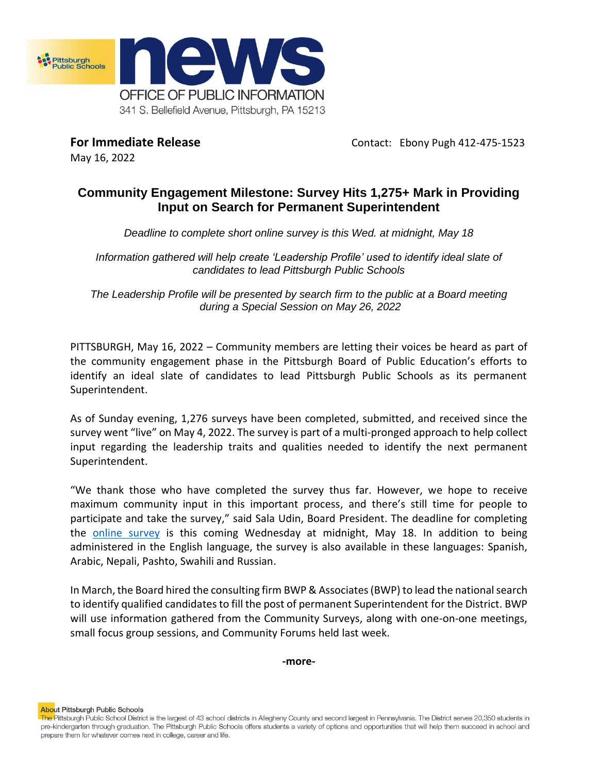

May 16, 2022

**For Immediate Release Contact: Ebony Pugh 412-475-1523** 

## **Community Engagement Milestone: Survey Hits 1,275+ Mark in Providing Input on Search for Permanent Superintendent**

*Deadline to complete short online survey is this Wed. at midnight, May 18*

*Information gathered will help create 'Leadership Profile' used to identify ideal slate of candidates to lead Pittsburgh Public Schools* 

*The Leadership Profile will be presented by search firm to the public at a Board meeting during a Special Session on May 26, 2022*

PITTSBURGH, May 16, 2022 – Community members are letting their voices be heard as part of the community engagement phase in the Pittsburgh Board of Public Education's efforts to identify an ideal slate of candidates to lead Pittsburgh Public Schools as its permanent Superintendent.

As of Sunday evening, 1,276 surveys have been completed, submitted, and received since the survey went "live" on May 4, 2022. The survey is part of a multi-pronged approach to help collect input regarding the leadership traits and qualities needed to identify the next permanent Superintendent.

"We thank those who have completed the survey thus far. However, we hope to receive maximum community input in this important process, and there's still time for people to participate and take the survey," said Sala Udin, Board President. The deadline for completing the [online survey](https://www.surveymonkey.com/r/3SX5YFH) is this coming Wednesday at midnight, May 18. In addition to being administered in the English language, the survey is also available in these languages: Spanish, Arabic, Nepali, Pashto, Swahili and Russian.

In March, the Board hired the consulting firm BWP & Associates (BWP) to lead the national search to identify qualified candidates to fill the post of permanent Superintendent for the District. BWP will use information gathered from the Community Surveys, along with one-on-one meetings, small focus group sessions, and Community Forums held last week.

**-more-**

**About Pittsburgh Public Schools** 

The Pittsburgh Public School District is the largest of 43 school districts in Allegheny County and second largest in Pennsylvania. The District serves 20,350 students in pre-kindergarten through graduation. The Pittsburgh Public Schools offers students a variety of options and opportunities that will help them succeed in school and prepare them for whatever comes next in college, career and life.